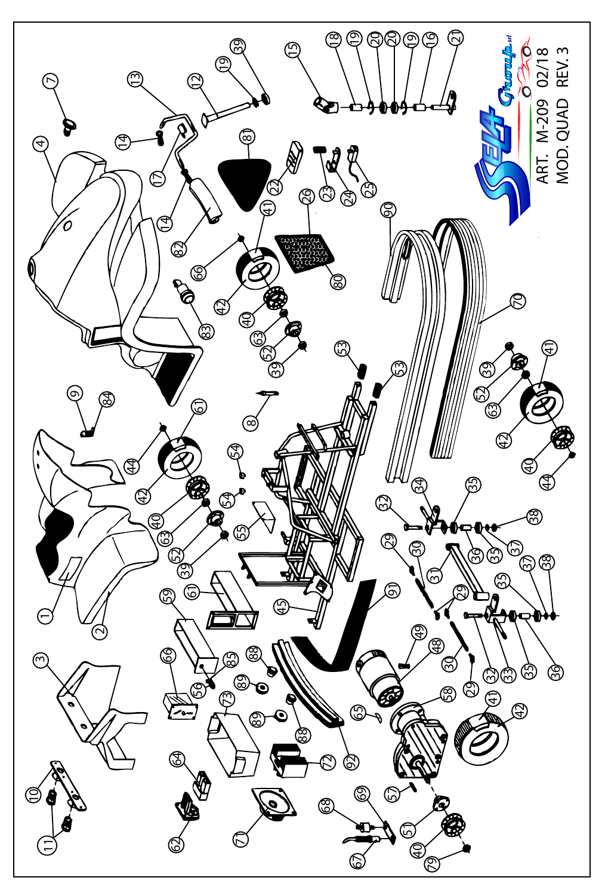